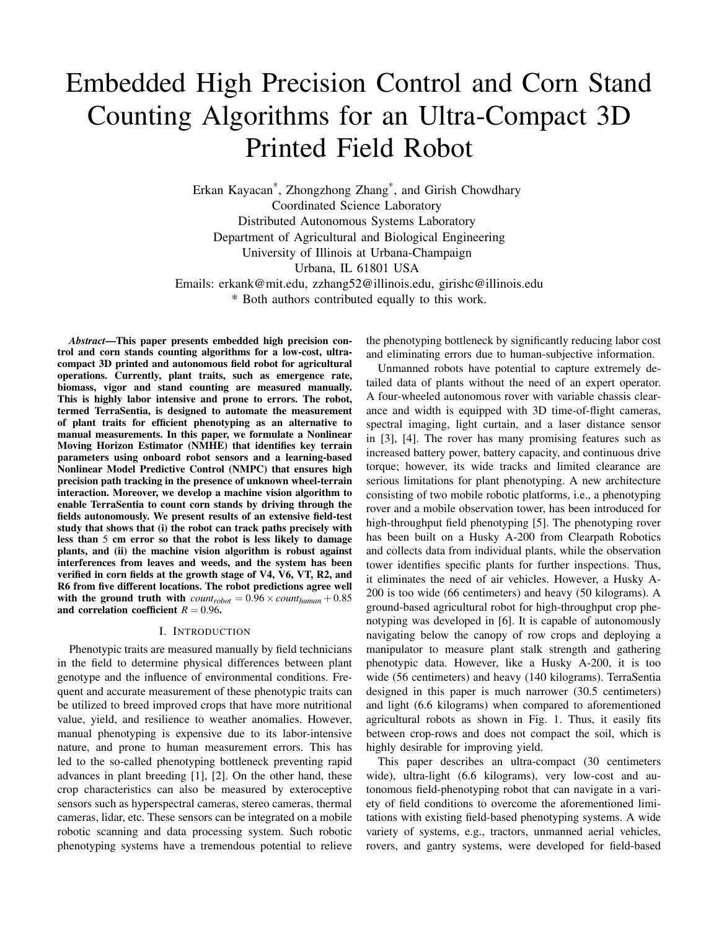# Embedded High Precision Control and Corn Stand Counting Algorithms for an Ultra-Compact 3D Printed Field Robot

Erkan Kayacan\* , Zhongzhong Zhang\* , and Girish Chowdhary Coordinated Science Laboratory Distributed Autonomous Systems Laboratory Department of Agricultural and Biological Engineering University of Illinois at Urbana-Champaign Urbana, IL 61801 USA Emails: erkank@mit.edu, zzhang52@illinois.edu, girishc@illinois.edu \* Both authors contributed equally to this work.

*Abstract*—This paper presents embedded high precision control and corn stands counting algorithms for a low-cost, ultracompact 3D printed and autonomous field robot for agricultural operations. Currently, plant traits, such as emergence rate, biomass, vigor and stand counting are measured manually. This is highly labor intensive and prone to errors. The robot, termed TerraSentia, is designed to automate the measurement of plant traits for efficient phenotyping as an alternative to manual measurements. In this paper, we formulate a Nonlinear Moving Horizon Estimator (NMHE) that identifies key terrain parameters using onboard robot sensors and a learning-based Nonlinear Model Predictive Control (NMPC) that ensures high precision path tracking in the presence of unknown wheel-terrain interaction. Moreover, we develop a machine vision algorithm to enable TerraSentia to count corn stands by driving through the fields autonomously. We present results of an extensive field-test study that shows that (i) the robot can track paths precisely with less than 5 cm error so that the robot is less likely to damage plants, and (ii) the machine vision algorithm is robust against interferences from leaves and weeds, and the system has been verified in corn fields at the growth stage of V4, V6, VT, R2, and R6 from five different locations. The robot predictions agree well with the ground truth with  $count_{robot} = 0.96 \times count_{human} + 0.85$ and correlation coefficient  $R = 0.96$ .

#### I. INTRODUCTION

Phenotypic traits are measured manually by field technicians in the field to determine physical differences between plant genotype and the influence of environmental conditions. Frequent and accurate measurement of these phenotypic traits can be utilized to breed improved crops that have more nutritional value, yield, and resilience to weather anomalies. However, manual phenotyping is expensive due to its labor-intensive nature, and prone to human measurement errors. This has led to the so-called phenotyping bottleneck preventing rapid advances in plant breeding [1], [2]. On the other hand, these crop characteristics can also be measured by exteroceptive sensors such as hyperspectral cameras, stereo cameras, thermal cameras, lidar, etc. These sensors can be integrated on a mobile robotic scanning and data processing system. Such robotic phenotyping systems have a tremendous potential to relieve

the phenotyping bottleneck by significantly reducing labor cost and eliminating errors due to human-subjective information.

Unmanned robots have potential to capture extremely detailed data of plants without the need of an expert operator. A four-wheeled autonomous rover with variable chassis clearance and width is equipped with 3D time-of-flight cameras, spectral imaging, light curtain, and a laser distance sensor in [3], [4]. The rover has many promising features such as increased battery power, battery capacity, and continuous drive torque; however, its wide tracks and limited clearance are serious limitations for plant phenotyping. A new architecture consisting of two mobile robotic platforms, i.e., a phenotyping rover and a mobile observation tower, has been introduced for high-throughput field phenotyping [5]. The phenotyping rover has been built on a Husky A-200 from Clearpath Robotics and collects data from individual plants, while the observation tower identifies specific plants for further inspections. Thus, it eliminates the need of air vehicles. However, a Husky A-200 is too wide (66 centimeters) and heavy (50 kilograms). A ground-based agricultural robot for high-throughput crop phenotyping was developed in [6]. It is capable of autonomously navigating below the canopy of row crops and deploying a manipulator to measure plant stalk strength and gathering phenotypic data. However, like a Husky A-200, it is too wide (56 centimeters) and heavy (140 kilograms). TerraSentia designed in this paper is much narrower (30.5 centimeters) and light (6.6 kilograms) when compared to aforementioned agricultural robots as shown in Fig. 1. Thus, it easily fits between crop-rows and does not compact the soil, which is highly desirable for improving yield.

This paper describes an ultra-compact (30 centimeters wide), ultra-light (6.6 kilograms), very low-cost and autonomous field-phenotyping robot that can navigate in a variety of field conditions to overcome the aforementioned limitations with existing field-based phenotyping systems. A wide variety of systems, e.g., tractors, unmanned aerial vehicles, rovers, and gantry systems, were developed for field-based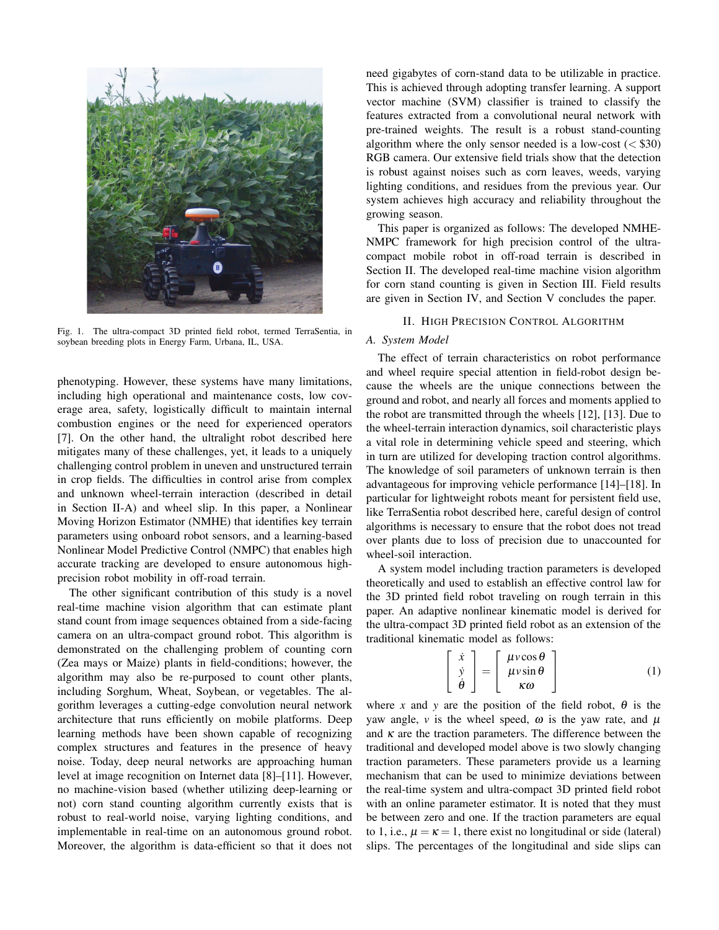

Fig. 1. The ultra-compact 3D printed field robot, termed TerraSentia, in soybean breeding plots in Energy Farm, Urbana, IL, USA.

phenotyping. However, these systems have many limitations, including high operational and maintenance costs, low coverage area, safety, logistically difficult to maintain internal combustion engines or the need for experienced operators [7]. On the other hand, the ultralight robot described here mitigates many of these challenges, yet, it leads to a uniquely challenging control problem in uneven and unstructured terrain in crop fields. The difficulties in control arise from complex and unknown wheel-terrain interaction (described in detail in Section II-A) and wheel slip. In this paper, a Nonlinear Moving Horizon Estimator (NMHE) that identifies key terrain parameters using onboard robot sensors, and a learning-based Nonlinear Model Predictive Control (NMPC) that enables high accurate tracking are developed to ensure autonomous highprecision robot mobility in off-road terrain.

The other significant contribution of this study is a novel real-time machine vision algorithm that can estimate plant stand count from image sequences obtained from a side-facing camera on an ultra-compact ground robot. This algorithm is demonstrated on the challenging problem of counting corn (Zea mays or Maize) plants in field-conditions; however, the algorithm may also be re-purposed to count other plants, including Sorghum, Wheat, Soybean, or vegetables. The algorithm leverages a cutting-edge convolution neural network architecture that runs efficiently on mobile platforms. Deep learning methods have been shown capable of recognizing complex structures and features in the presence of heavy noise. Today, deep neural networks are approaching human level at image recognition on Internet data [8]–[11]. However, no machine-vision based (whether utilizing deep-learning or not) corn stand counting algorithm currently exists that is robust to real-world noise, varying lighting conditions, and implementable in real-time on an autonomous ground robot. Moreover, the algorithm is data-efficient so that it does not

need gigabytes of corn-stand data to be utilizable in practice. This is achieved through adopting transfer learning. A support vector machine (SVM) classifier is trained to classify the features extracted from a convolutional neural network with pre-trained weights. The result is a robust stand-counting algorithm where the only sensor needed is a low-cost  $(<$ \$30) RGB camera. Our extensive field trials show that the detection is robust against noises such as corn leaves, weeds, varying lighting conditions, and residues from the previous year. Our system achieves high accuracy and reliability throughout the growing season.

This paper is organized as follows: The developed NMHE-NMPC framework for high precision control of the ultracompact mobile robot in off-road terrain is described in Section II. The developed real-time machine vision algorithm for corn stand counting is given in Section III. Field results are given in Section IV, and Section V concludes the paper.

#### II. HIGH PRECISION CONTROL ALGORITHM

#### *A. System Model*

The effect of terrain characteristics on robot performance and wheel require special attention in field-robot design because the wheels are the unique connections between the ground and robot, and nearly all forces and moments applied to the robot are transmitted through the wheels [12], [13]. Due to the wheel-terrain interaction dynamics, soil characteristic plays a vital role in determining vehicle speed and steering, which in turn are utilized for developing traction control algorithms. The knowledge of soil parameters of unknown terrain is then advantageous for improving vehicle performance [14]–[18]. In particular for lightweight robots meant for persistent field use, like TerraSentia robot described here, careful design of control algorithms is necessary to ensure that the robot does not tread over plants due to loss of precision due to unaccounted for wheel-soil interaction.

A system model including traction parameters is developed theoretically and used to establish an effective control law for the 3D printed field robot traveling on rough terrain in this paper. An adaptive nonlinear kinematic model is derived for the ultra-compact 3D printed field robot as an extension of the traditional kinematic model as follows:

$$
\begin{bmatrix} \dot{x} \\ \dot{y} \\ \dot{\theta} \end{bmatrix} = \begin{bmatrix} \mu v \cos \theta \\ \mu v \sin \theta \\ \kappa \omega \end{bmatrix}
$$
 (1)

where *x* and *y* are the position of the field robot,  $\theta$  is the yaw angle,  $\nu$  is the wheel speed,  $\omega$  is the yaw rate, and  $\mu$ and  $\kappa$  are the traction parameters. The difference between the traditional and developed model above is two slowly changing traction parameters. These parameters provide us a learning mechanism that can be used to minimize deviations between the real-time system and ultra-compact 3D printed field robot with an online parameter estimator. It is noted that they must be between zero and one. If the traction parameters are equal to 1, i.e.,  $\mu = \kappa = 1$ , there exist no longitudinal or side (lateral) slips. The percentages of the longitudinal and side slips can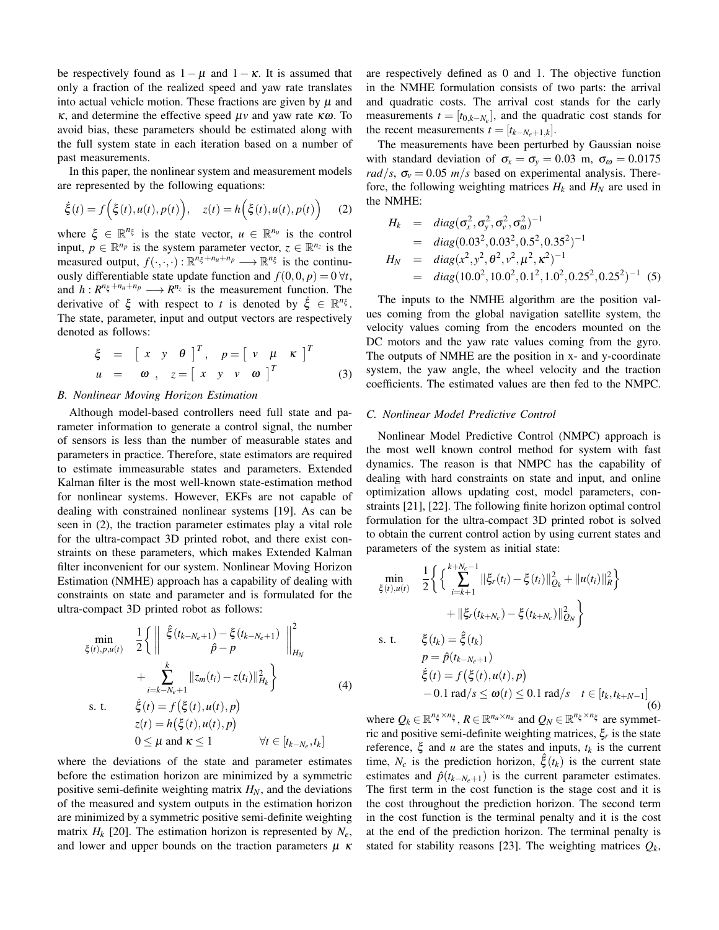be respectively found as  $1 - \mu$  and  $1 - \kappa$ . It is assumed that only a fraction of the realized speed and yaw rate translates into actual vehicle motion. These fractions are given by  $\mu$  and κ, and determine the effective speed µ*v* and yaw rate κω. To avoid bias, these parameters should be estimated along with the full system state in each iteration based on a number of past measurements.

In this paper, the nonlinear system and measurement models are represented by the following equations:

$$
\dot{\xi}(t) = f\Big(\xi(t), u(t), p(t)\Big), \quad z(t) = h\Big(\xi(t), u(t), p(t)\Big) \tag{2}
$$

where  $\xi \in \mathbb{R}^{n_{\xi}}$  is the state vector,  $u \in \mathbb{R}^{n_u}$  is the control input,  $p \in \mathbb{R}^{n_p}$  is the system parameter vector,  $z \in \mathbb{R}^{n_z}$  is the measured output,  $f(\cdot,\cdot,\cdot): \mathbb{R}^{n_{\xi}^2+n_u+n_p} \longrightarrow \mathbb{R}^{n_{\xi}}$  is the continuously differentiable state update function and  $f(0,0,p) = 0 \forall t$ , and  $h: R^{n_{\xi}+n_u+n_p} \longrightarrow R^{n_{\xi}}$  is the measurement function. The derivative of  $\xi$  with respect to *t* is denoted by  $\dot{\xi} \in \mathbb{R}^{n_{\xi}}$ . The state, parameter, input and output vectors are respectively denoted as follows:

$$
\xi = \begin{bmatrix} x & y & \theta \end{bmatrix}^T, \quad p = \begin{bmatrix} v & \mu & \kappa \end{bmatrix}^T
$$
  
 
$$
u = \boldsymbol{\omega}, \quad z = \begin{bmatrix} x & y & v & \boldsymbol{\omega} \end{bmatrix}^T
$$
 (3)

#### *B. Nonlinear Moving Horizon Estimation*

Although model-based controllers need full state and parameter information to generate a control signal, the number of sensors is less than the number of measurable states and parameters in practice. Therefore, state estimators are required to estimate immeasurable states and parameters. Extended Kalman filter is the most well-known state-estimation method for nonlinear systems. However, EKFs are not capable of dealing with constrained nonlinear systems [19]. As can be seen in (2), the traction parameter estimates play a vital role for the ultra-compact 3D printed robot, and there exist constraints on these parameters, which makes Extended Kalman filter inconvenient for our system. Nonlinear Moving Horizon Estimation (NMHE) approach has a capability of dealing with constraints on state and parameter and is formulated for the ultra-compact 3D printed robot as follows:

$$
\min_{\xi(t), p, u(t)} \quad \frac{1}{2} \left\{ \left\| \begin{array}{cc} \hat{\xi}(t_{k-N_e+1}) - \xi(t_{k-N_e+1}) & \right\|_{H_N}^2 \\ \hat{p} - p & \right\|_{H_N} \\ + \sum_{i=k-N_e+1}^k \|z_m(t_i) - z(t_i)\|_{H_k}^2 \right\} \\ \text{s. t.} \quad \dot{\xi}(t) = f(\xi(t), u(t), p) \\ z(t) = h(\xi(t), u(t), p) \\ 0 \le \mu \text{ and } \kappa \le 1 \qquad \forall t \in [t_{k-N_e}, t_k]
$$

where the deviations of the state and parameter estimates before the estimation horizon are minimized by a symmetric positive semi-definite weighting matrix  $H_N$ , and the deviations of the measured and system outputs in the estimation horizon are minimized by a symmetric positive semi-definite weighting matrix  $H_k$  [20]. The estimation horizon is represented by  $N_e$ , and lower and upper bounds on the traction parameters  $\mu \kappa$  are respectively defined as 0 and 1. The objective function in the NMHE formulation consists of two parts: the arrival and quadratic costs. The arrival cost stands for the early measurements  $t = [t_{0,k-N_e}]$ , and the quadratic cost stands for the recent measurements  $t = [t_{k-N_e+1,k}]$ .

The measurements have been perturbed by Gaussian noise with standard deviation of  $\sigma_x = \sigma_y = 0.03$  m,  $\sigma_\omega = 0.0175$ *rad*/*s*,  $\sigma_v = 0.05$  *m*/*s* based on experimental analysis. Therefore, the following weighting matrices  $H_k$  and  $H_N$  are used in the NMHE:

$$
H_k = diag(\sigma_x^2, \sigma_y^2, \sigma_v^2, \sigma_{\omega}^2)^{-1}
$$
  
= diag(0.03<sup>2</sup>, 0.03<sup>2</sup>, 0.5<sup>2</sup>, 0.35<sup>2</sup>)<sup>-1</sup>  

$$
H_N = diag(x^2, y^2, \theta^2, v^2, \mu^2, \kappa^2)^{-1}
$$
  
= diag(10.0<sup>2</sup>, 10.0<sup>2</sup>, 0.1<sup>2</sup>, 1.0<sup>2</sup>, 0.25<sup>2</sup>, 0.25<sup>2</sup>)<sup>-1</sup> (5)

The inputs to the NMHE algorithm are the position values coming from the global navigation satellite system, the velocity values coming from the encoders mounted on the DC motors and the yaw rate values coming from the gyro. The outputs of NMHE are the position in x- and y-coordinate system, the yaw angle, the wheel velocity and the traction coefficients. The estimated values are then fed to the NMPC.

#### *C. Nonlinear Model Predictive Control*

Nonlinear Model Predictive Control (NMPC) approach is the most well known control method for system with fast dynamics. The reason is that NMPC has the capability of dealing with hard constraints on state and input, and online optimization allows updating cost, model parameters, constraints [21], [22]. The following finite horizon optimal control formulation for the ultra-compact 3D printed robot is solved to obtain the current control action by using current states and parameters of the system as initial state:

$$
\min_{\xi(t), u(t)} \quad \frac{1}{2} \Big\{ \Big\{ \sum_{i=k+1}^{k+N_c-1} \|\xi_r(t_i) - \xi(t_i)\|_{Q_k}^2 + \|u(t_i)\|_R^2 \Big\} \\ \quad + \|\xi_r(t_{k+N_c}) - \xi(t_{k+N_c})\|_{Q_N}^2 \Big\} \\ \text{s. t.} \quad \xi(t_k) = \hat{\xi}(t_k) \\ p = \hat{p}(t_{k-N_c+1}) \\ \dot{\xi}(t) = f(\xi(t), u(t), p) \\ \quad - 0.1 \text{ rad/s } \le \omega(t) \le 0.1 \text{ rad/s } t \in [t_k, t_{k+N-1}] \tag{6}
$$

where  $Q_k \in \mathbb{R}^{n_{\xi} \times n_{\xi}}$ ,  $R \in \mathbb{R}^{n_u \times n_u}$  and  $Q_N \in \mathbb{R}^{n_{\xi} \times n_{\xi}}$  are symmetric and positive semi-definite weighting matrices, ξ*<sup>r</sup>* is the state reference,  $\xi$  and *u* are the states and inputs,  $t_k$  is the current time,  $N_c$  is the prediction horizon,  $\hat{\xi}(t_k)$  is the current state estimates and  $\hat{p}(t_{k-N_e+1})$  is the current parameter estimates. The first term in the cost function is the stage cost and it is the cost throughout the prediction horizon. The second term in the cost function is the terminal penalty and it is the cost at the end of the prediction horizon. The terminal penalty is stated for stability reasons [23]. The weighting matrices *Q<sup>k</sup>* ,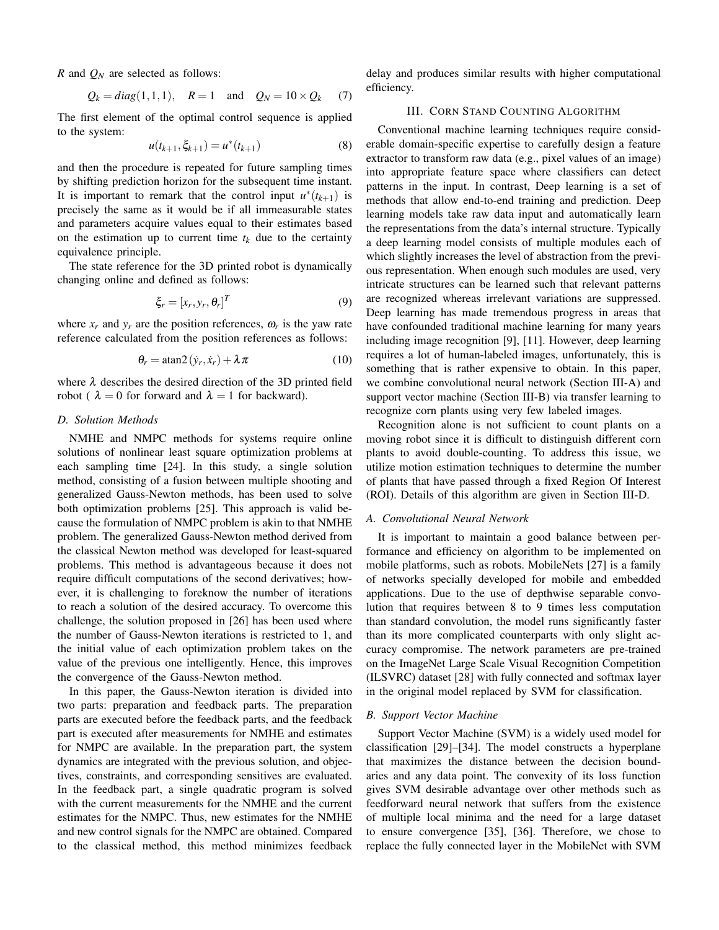*R* and *Q<sup>N</sup>* are selected as follows:

$$
Q_k = diag(1, 1, 1), \quad R = 1 \text{ and } Q_N = 10 \times Q_k
$$
 (7)

The first element of the optimal control sequence is applied to the system:

$$
u(t_{k+1}, \xi_{k+1}) = u^*(t_{k+1})
$$
\n(8)

and then the procedure is repeated for future sampling times by shifting prediction horizon for the subsequent time instant. It is important to remark that the control input  $u^*(t_{k+1})$  is precisely the same as it would be if all immeasurable states and parameters acquire values equal to their estimates based on the estimation up to current time  $t_k$  due to the certainty equivalence principle.

The state reference for the 3D printed robot is dynamically changing online and defined as follows:

$$
\xi_r = [x_r, y_r, \theta_r]^T
$$
\n(9)

where  $x_r$  and  $y_r$  are the position references,  $\omega_r$  is the yaw rate reference calculated from the position references as follows:

$$
\theta_r = \operatorname{atan2}(\dot{y}_r, \dot{x}_r) + \lambda \pi \tag{10}
$$

where  $\lambda$  describes the desired direction of the 3D printed field robot (  $\lambda = 0$  for forward and  $\lambda = 1$  for backward).

# *D. Solution Methods*

NMHE and NMPC methods for systems require online solutions of nonlinear least square optimization problems at each sampling time [24]. In this study, a single solution method, consisting of a fusion between multiple shooting and generalized Gauss-Newton methods, has been used to solve both optimization problems [25]. This approach is valid because the formulation of NMPC problem is akin to that NMHE problem. The generalized Gauss-Newton method derived from the classical Newton method was developed for least-squared problems. This method is advantageous because it does not require difficult computations of the second derivatives; however, it is challenging to foreknow the number of iterations to reach a solution of the desired accuracy. To overcome this challenge, the solution proposed in [26] has been used where the number of Gauss-Newton iterations is restricted to 1, and the initial value of each optimization problem takes on the value of the previous one intelligently. Hence, this improves the convergence of the Gauss-Newton method.

In this paper, the Gauss-Newton iteration is divided into two parts: preparation and feedback parts. The preparation parts are executed before the feedback parts, and the feedback part is executed after measurements for NMHE and estimates for NMPC are available. In the preparation part, the system dynamics are integrated with the previous solution, and objectives, constraints, and corresponding sensitives are evaluated. In the feedback part, a single quadratic program is solved with the current measurements for the NMHE and the current estimates for the NMPC. Thus, new estimates for the NMHE and new control signals for the NMPC are obtained. Compared to the classical method, this method minimizes feedback

delay and produces similar results with higher computational efficiency.

# III. CORN STAND COUNTING ALGORITHM

Conventional machine learning techniques require considerable domain-specific expertise to carefully design a feature extractor to transform raw data (e.g., pixel values of an image) into appropriate feature space where classifiers can detect patterns in the input. In contrast, Deep learning is a set of methods that allow end-to-end training and prediction. Deep learning models take raw data input and automatically learn the representations from the data's internal structure. Typically a deep learning model consists of multiple modules each of which slightly increases the level of abstraction from the previous representation. When enough such modules are used, very intricate structures can be learned such that relevant patterns are recognized whereas irrelevant variations are suppressed. Deep learning has made tremendous progress in areas that have confounded traditional machine learning for many years including image recognition [9], [11]. However, deep learning requires a lot of human-labeled images, unfortunately, this is something that is rather expensive to obtain. In this paper, we combine convolutional neural network (Section III-A) and support vector machine (Section III-B) via transfer learning to recognize corn plants using very few labeled images.

Recognition alone is not sufficient to count plants on a moving robot since it is difficult to distinguish different corn plants to avoid double-counting. To address this issue, we utilize motion estimation techniques to determine the number of plants that have passed through a fixed Region Of Interest (ROI). Details of this algorithm are given in Section III-D.

# *A. Convolutional Neural Network*

It is important to maintain a good balance between performance and efficiency on algorithm to be implemented on mobile platforms, such as robots. MobileNets [27] is a family of networks specially developed for mobile and embedded applications. Due to the use of depthwise separable convolution that requires between 8 to 9 times less computation than standard convolution, the model runs significantly faster than its more complicated counterparts with only slight accuracy compromise. The network parameters are pre-trained on the ImageNet Large Scale Visual Recognition Competition (ILSVRC) dataset [28] with fully connected and softmax layer in the original model replaced by SVM for classification.

### *B. Support Vector Machine*

Support Vector Machine (SVM) is a widely used model for classification [29]–[34]. The model constructs a hyperplane that maximizes the distance between the decision boundaries and any data point. The convexity of its loss function gives SVM desirable advantage over other methods such as feedforward neural network that suffers from the existence of multiple local minima and the need for a large dataset to ensure convergence [35], [36]. Therefore, we chose to replace the fully connected layer in the MobileNet with SVM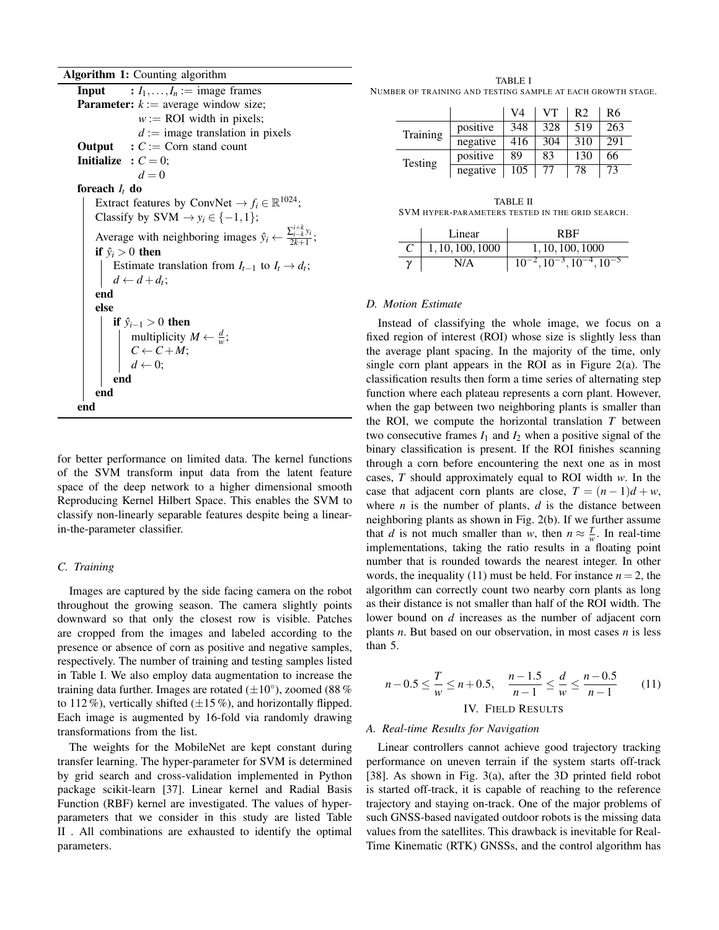Algorithm 1: Counting algorithm

**Input** :  $I_1, \ldots, I_n := \text{image frames}$ **Parameter:**  $k :=$  average window size;  $w := \text{ROI width in pixels};$  $d := \text{image translation in pixels}$ **Output** :  $C := \text{Corn stand count}$ **Initialize** :  $C = 0$ ;  $d = 0$ foreach *I<sup>t</sup>* do Extract features by ConvNet  $\rightarrow f_i \in \mathbb{R}^{1024}$ ; Classify by  $SVM \rightarrow y_i \in \{-1, 1\};$ Average with neighboring images  $\hat{y}_i \leftarrow \frac{\sum_{i=k}^{i+k} y_i}{2k+1}$  $\frac{2k+1}{2k+1}$ ; if  $\hat{y}_i > 0$  then Estimate translation from  $I_{t-1}$  to  $I_t \rightarrow d_t$ ;  $d \leftarrow d + d_t;$ end else if  $\hat{y}_{i-1} > 0$  then multiplicity  $M \leftarrow \frac{d}{w}$ ;  $C \leftarrow C + M;$  $d \leftarrow 0;$ end end end

for better performance on limited data. The kernel functions of the SVM transform input data from the latent feature space of the deep network to a higher dimensional smooth Reproducing Kernel Hilbert Space. This enables the SVM to classify non-linearly separable features despite being a linearin-the-parameter classifier.

#### *C. Training*

Images are captured by the side facing camera on the robot throughout the growing season. The camera slightly points downward so that only the closest row is visible. Patches are cropped from the images and labeled according to the presence or absence of corn as positive and negative samples, respectively. The number of training and testing samples listed in Table I. We also employ data augmentation to increase the training data further. Images are rotated  $(\pm 10^{\circ})$ , zoomed (88 % to 112%), vertically shifted  $(\pm 15\%)$ , and horizontally flipped. Each image is augmented by 16-fold via randomly drawing transformations from the list.

The weights for the MobileNet are kept constant during transfer learning. The hyper-parameter for SVM is determined by grid search and cross-validation implemented in Python package scikit-learn [37]. Linear kernel and Radial Basis Function (RBF) kernel are investigated. The values of hyperparameters that we consider in this study are listed Table II . All combinations are exhausted to identify the optimal parameters.

TABLE I NUMBER OF TRAINING AND TESTING SAMPLE AT EACH GROWTH STAGE.

|          |          | V4        | VT  | R <sub>2</sub> | R6  |
|----------|----------|-----------|-----|----------------|-----|
| Training | positive | 348       | 328 | 519            | 263 |
|          | negative | 416       | 304 | 310            | 291 |
| Testing  | positive | 89        | 83  | 130            | 66  |
|          | negative | 105<br>77 | 78  | 73             |     |

| TABLE II                                        |  |  |  |  |
|-------------------------------------------------|--|--|--|--|
| SVM HYPER-PARAMETERS TESTED IN THE GRID SEARCH. |  |  |  |  |

| Linear                   | RBF                                           |
|--------------------------|-----------------------------------------------|
| $\vert$ 1, 10, 100, 1000 | 1, 10, 100, 1000                              |
| N/A                      | $10^{-2}$ , $10^{-3}$ , $10^{-4}$ , $10^{-5}$ |

# *D. Motion Estimate*

Instead of classifying the whole image, we focus on a fixed region of interest (ROI) whose size is slightly less than the average plant spacing. In the majority of the time, only single corn plant appears in the ROI as in Figure 2(a). The classification results then form a time series of alternating step function where each plateau represents a corn plant. However, when the gap between two neighboring plants is smaller than the ROI, we compute the horizontal translation *T* between two consecutive frames  $I_1$  and  $I_2$  when a positive signal of the binary classification is present. If the ROI finishes scanning through a corn before encountering the next one as in most cases, *T* should approximately equal to ROI width *w*. In the case that adjacent corn plants are close,  $T = (n-1)d + w$ , where  $n$  is the number of plants,  $d$  is the distance between neighboring plants as shown in Fig. 2(b). If we further assume that *d* is not much smaller than *w*, then  $n \approx \frac{T}{w}$ . In real-time implementations, taking the ratio results in a floating point number that is rounded towards the nearest integer. In other words, the inequality (11) must be held. For instance  $n = 2$ , the algorithm can correctly count two nearby corn plants as long as their distance is not smaller than half of the ROI width. The lower bound on *d* increases as the number of adjacent corn plants *n*. But based on our observation, in most cases *n* is less than 5.

$$
n - 0.5 \le \frac{T}{w} \le n + 0.5, \quad \frac{n - 1.5}{n - 1} \le \frac{d}{w} \le \frac{n - 0.5}{n - 1}
$$
 (11)  
IV. FIELD RESULTS

# *A. Real-time Results for Navigation*

Linear controllers cannot achieve good trajectory tracking performance on uneven terrain if the system starts off-track [38]. As shown in Fig. 3(a), after the 3D printed field robot is started off-track, it is capable of reaching to the reference trajectory and staying on-track. One of the major problems of such GNSS-based navigated outdoor robots is the missing data values from the satellites. This drawback is inevitable for Real-Time Kinematic (RTK) GNSSs, and the control algorithm has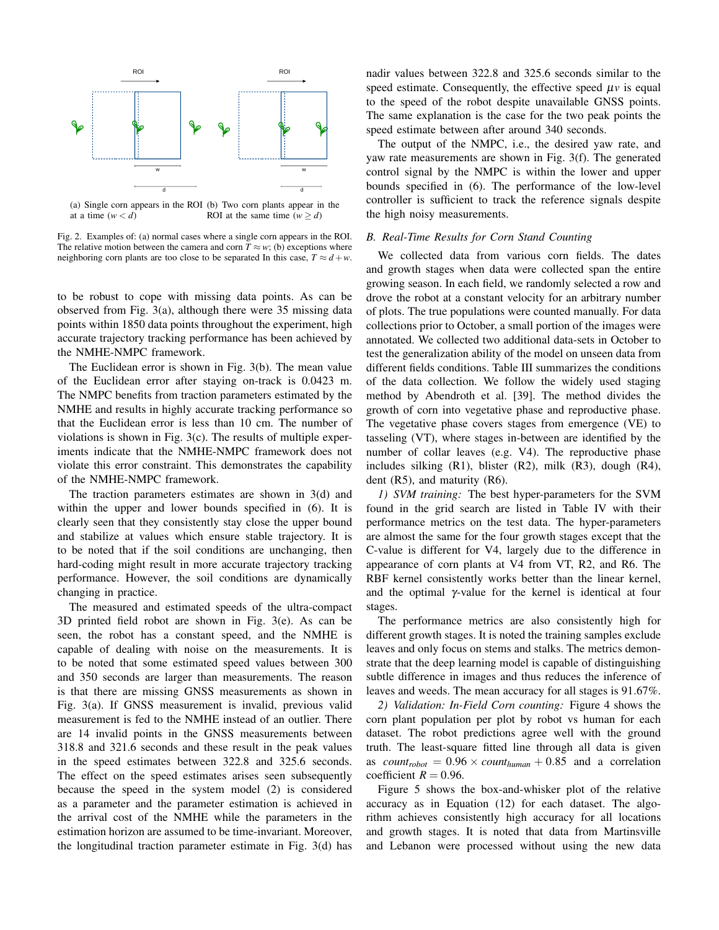

(a) Single corn appears in the ROI (b) Two corn plants appear in the at a time  $(w < d)$ ROI at the same time  $(w > d)$ 

Fig. 2. Examples of: (a) normal cases where a single corn appears in the ROI. The relative motion between the camera and corn  $T \approx w$ ; (b) exceptions where neighboring corn plants are too close to be separated In this case,  $T \approx d + w$ .

to be robust to cope with missing data points. As can be observed from Fig. 3(a), although there were 35 missing data points within 1850 data points throughout the experiment, high accurate trajectory tracking performance has been achieved by the NMHE-NMPC framework.

The Euclidean error is shown in Fig. 3(b). The mean value of the Euclidean error after staying on-track is 0.0423 m. The NMPC benefits from traction parameters estimated by the NMHE and results in highly accurate tracking performance so that the Euclidean error is less than 10 cm. The number of violations is shown in Fig. 3(c). The results of multiple experiments indicate that the NMHE-NMPC framework does not violate this error constraint. This demonstrates the capability of the NMHE-NMPC framework.

The traction parameters estimates are shown in 3(d) and within the upper and lower bounds specified in  $(6)$ . It is clearly seen that they consistently stay close the upper bound and stabilize at values which ensure stable trajectory. It is to be noted that if the soil conditions are unchanging, then hard-coding might result in more accurate trajectory tracking performance. However, the soil conditions are dynamically changing in practice.

The measured and estimated speeds of the ultra-compact 3D printed field robot are shown in Fig. 3(e). As can be seen, the robot has a constant speed, and the NMHE is capable of dealing with noise on the measurements. It is to be noted that some estimated speed values between 300 and 350 seconds are larger than measurements. The reason is that there are missing GNSS measurements as shown in Fig. 3(a). If GNSS measurement is invalid, previous valid measurement is fed to the NMHE instead of an outlier. There are 14 invalid points in the GNSS measurements between 318.8 and 321.6 seconds and these result in the peak values in the speed estimates between 322.8 and 325.6 seconds. The effect on the speed estimates arises seen subsequently because the speed in the system model (2) is considered as a parameter and the parameter estimation is achieved in the arrival cost of the NMHE while the parameters in the estimation horizon are assumed to be time-invariant. Moreover, the longitudinal traction parameter estimate in Fig. 3(d) has nadir values between 322.8 and 325.6 seconds similar to the speed estimate. Consequently, the effective speed  $\mu v$  is equal to the speed of the robot despite unavailable GNSS points. The same explanation is the case for the two peak points the speed estimate between after around 340 seconds.

The output of the NMPC, i.e., the desired yaw rate, and yaw rate measurements are shown in Fig. 3(f). The generated control signal by the NMPC is within the lower and upper bounds specified in (6). The performance of the low-level controller is sufficient to track the reference signals despite the high noisy measurements.

### *B. Real-Time Results for Corn Stand Counting*

We collected data from various corn fields. The dates and growth stages when data were collected span the entire growing season. In each field, we randomly selected a row and drove the robot at a constant velocity for an arbitrary number of plots. The true populations were counted manually. For data collections prior to October, a small portion of the images were annotated. We collected two additional data-sets in October to test the generalization ability of the model on unseen data from different fields conditions. Table III summarizes the conditions of the data collection. We follow the widely used staging method by Abendroth et al. [39]. The method divides the growth of corn into vegetative phase and reproductive phase. The vegetative phase covers stages from emergence (VE) to tasseling (VT), where stages in-between are identified by the number of collar leaves (e.g. V4). The reproductive phase includes silking (R1), blister (R2), milk (R3), dough (R4), dent  $(R5)$ , and maturity  $(R6)$ .

*1) SVM training:* The best hyper-parameters for the SVM found in the grid search are listed in Table IV with their performance metrics on the test data. The hyper-parameters are almost the same for the four growth stages except that the C-value is different for V4, largely due to the difference in appearance of corn plants at V4 from VT, R2, and R6. The RBF kernel consistently works better than the linear kernel, and the optimal  $\gamma$ -value for the kernel is identical at four stages.

The performance metrics are also consistently high for different growth stages. It is noted the training samples exclude leaves and only focus on stems and stalks. The metrics demonstrate that the deep learning model is capable of distinguishing subtle difference in images and thus reduces the inference of leaves and weeds. The mean accuracy for all stages is 91.67%.

*2) Validation: In-Field Corn counting:* Figure 4 shows the corn plant population per plot by robot vs human for each dataset. The robot predictions agree well with the ground truth. The least-square fitted line through all data is given as *count<sub>robot</sub>* =  $0.96 \times \text{count}_{human} + 0.85$  and a correlation coefficient  $R = 0.96$ .

Figure 5 shows the box-and-whisker plot of the relative accuracy as in Equation (12) for each dataset. The algorithm achieves consistently high accuracy for all locations and growth stages. It is noted that data from Martinsville and Lebanon were processed without using the new data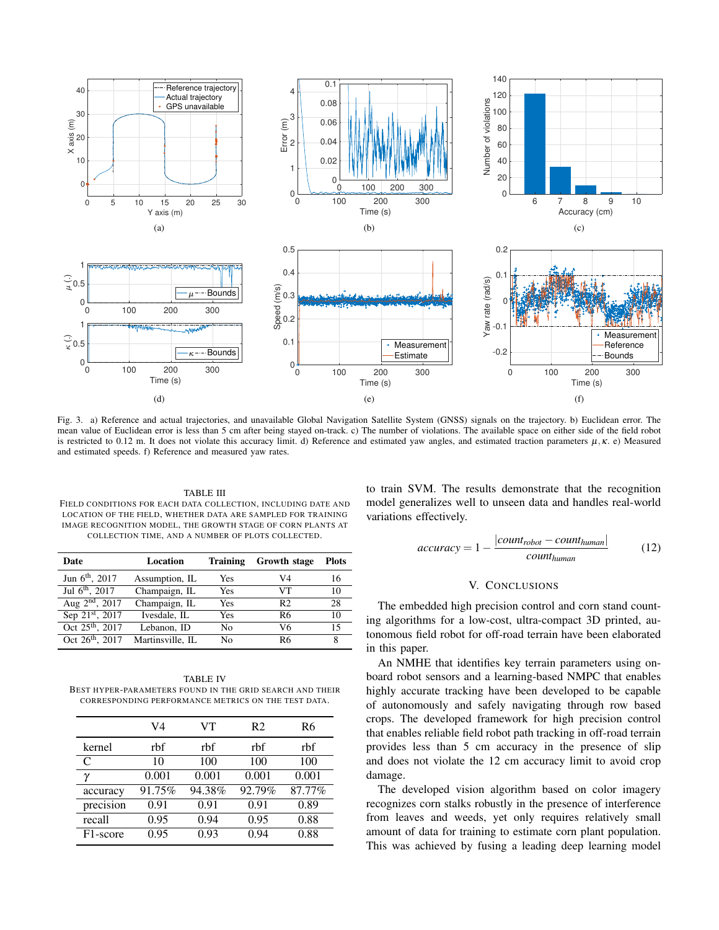

Fig. 3. a) Reference and actual trajectories, and unavailable Global Navigation Satellite System (GNSS) signals on the trajectory. b) Euclidean error. The mean value of Euclidean error is less than 5 cm after being stayed on-track. c) The number of violations. The available space on either side of the field robot is restricted to 0.12 m. It does not violate this accuracy limit. d) Reference and estimated yaw angles, and estimated traction parameters  $\mu$ ,  $\kappa$ . e) Measured and estimated speeds. f) Reference and measured yaw rates.

TABLE III FIELD CONDITIONS FOR EACH DATA COLLECTION, INCLUDING DATE AND LOCATION OF THE FIELD, WHETHER DATA ARE SAMPLED FOR TRAINING IMAGE RECOGNITION MODEL, THE GROWTH STAGE OF CORN PLANTS AT COLLECTION TIME, AND A NUMBER OF PLOTS COLLECTED.

| Date                        | Location         | <b>Training</b> | Growth stage   | <b>Plots</b> |
|-----------------------------|------------------|-----------------|----------------|--------------|
| Jun $6^{\text{th}}$ , 2017  | Assumption, IL   | <b>Yes</b>      | V4             | 16           |
| Jul $6^{th}$ , 2017         | Champaign, IL    | <b>Yes</b>      | VТ             | 10           |
| Aug $2^{nd}$ , 2017         | Champaign, IL    | Yes             | R <sub>2</sub> | 28           |
| Sep 21st, 2017              | Ivesdale, IL     | Yes             | R6             | 10           |
| Oct 25 <sup>th</sup> , 2017 | Lebanon, ID      | No              | V6             | 15           |
| Oct $26^{th}$ , $2017$      | Martinsville, IL | No              | R <sub>6</sub> | 8            |

TABLE IV BEST HYPER-PARAMETERS FOUND IN THE GRID SEARCH AND THEIR CORRESPONDING PERFORMANCE METRICS ON THE TEST DATA.

|                       | V4     | VT     | R <sub>2</sub> | R6     |
|-----------------------|--------|--------|----------------|--------|
| kernel                | rbf    | rbf    | rbf            | rbf    |
| C                     | 10     | 100    | 100            | 100    |
| γ                     | 0.001  | 0.001  | 0.001          | 0.001  |
| accuracy              | 91.75% | 94.38% | 92.79%         | 87.77% |
| precision             | 0.91   | 0.91   | 0.91           | 0.89   |
| recall                | 0.95   | 0.94   | 0.95           | 0.88   |
| F <sub>1</sub> -score | 0.95   | 0.93   | 0.94           | 0.88   |
|                       |        |        |                |        |

to train SVM. The results demonstrate that the recognition model generalizes well to unseen data and handles real-world variations effectively.

$$
accuracy = 1 - \frac{|count_{robot} - count_{human}|}{count_{human}}
$$
 (12)

### V. CONCLUSIONS

The embedded high precision control and corn stand counting algorithms for a low-cost, ultra-compact 3D printed, autonomous field robot for off-road terrain have been elaborated in this paper.

An NMHE that identifies key terrain parameters using onboard robot sensors and a learning-based NMPC that enables highly accurate tracking have been developed to be capable of autonomously and safely navigating through row based crops. The developed framework for high precision control that enables reliable field robot path tracking in off-road terrain provides less than 5 cm accuracy in the presence of slip and does not violate the 12 cm accuracy limit to avoid crop damage.

The developed vision algorithm based on color imagery recognizes corn stalks robustly in the presence of interference from leaves and weeds, yet only requires relatively small amount of data for training to estimate corn plant population. This was achieved by fusing a leading deep learning model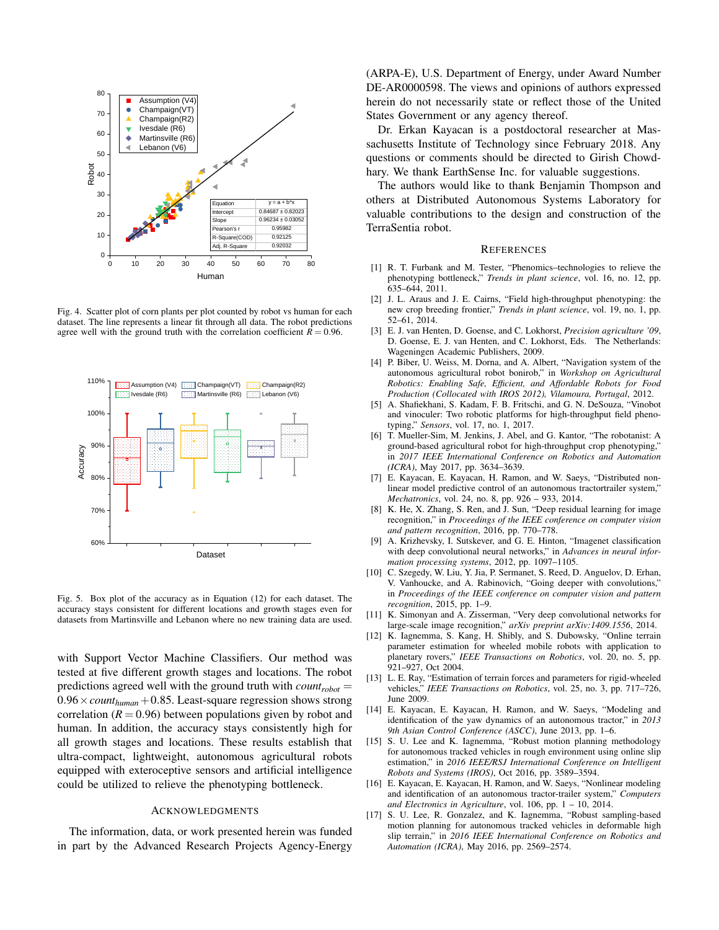

Fig. 4. Scatter plot of corn plants per plot counted by robot vs human for each dataset. The line represents a linear fit through all data. The robot predictions agree well with the ground truth with the correlation coefficient  $R = 0.96$ .



Fig. 5. Box plot of the accuracy as in Equation (12) for each dataset. The accuracy stays consistent for different locations and growth stages even for datasets from Martinsville and Lebanon where no new training data are used.

with Support Vector Machine Classifiers. Our method was tested at five different growth stages and locations. The robot predictions agreed well with the ground truth with *countrobot* =  $0.96 \times \text{count}_{human} + 0.85$ . Least-square regression shows strong correlation  $(R = 0.96)$  between populations given by robot and human. In addition, the accuracy stays consistently high for all growth stages and locations. These results establish that ultra-compact, lightweight, autonomous agricultural robots equipped with exteroceptive sensors and artificial intelligence could be utilized to relieve the phenotyping bottleneck.

#### ACKNOWLEDGMENTS

The information, data, or work presented herein was funded in part by the Advanced Research Projects Agency-Energy

(ARPA-E), U.S. Department of Energy, under Award Number DE-AR0000598. The views and opinions of authors expressed herein do not necessarily state or reflect those of the United States Government or any agency thereof.

Dr. Erkan Kayacan is a postdoctoral researcher at Massachusetts Institute of Technology since February 2018. Any questions or comments should be directed to Girish Chowdhary. We thank EarthSense Inc. for valuable suggestions.

The authors would like to thank Benjamin Thompson and others at Distributed Autonomous Systems Laboratory for valuable contributions to the design and construction of the TerraSentia robot.

#### **REFERENCES**

- [1] R. T. Furbank and M. Tester, "Phenomics–technologies to relieve the phenotyping bottleneck," *Trends in plant science*, vol. 16, no. 12, pp. 635–644, 2011.
- [2] J. L. Araus and J. E. Cairns, "Field high-throughput phenotyping: the new crop breeding frontier," *Trends in plant science*, vol. 19, no. 1, pp. 52–61, 2014.
- [3] E. J. van Henten, D. Goense, and C. Lokhorst, *Precision agriculture '09*, D. Goense, E. J. van Henten, and C. Lokhorst, Eds. The Netherlands: Wageningen Academic Publishers, 2009.
- [4] P. Biber, U. Weiss, M. Dorna, and A. Albert, "Navigation system of the autonomous agricultural robot bonirob," in *Workshop on Agricultural Robotics: Enabling Safe, Efficient, and Affordable Robots for Food Production (Collocated with IROS 2012), Vilamoura, Portugal*, 2012.
- [5] A. Shafiekhani, S. Kadam, F. B. Fritschi, and G. N. DeSouza, "Vinobot and vinoculer: Two robotic platforms for high-throughput field phenotyping," *Sensors*, vol. 17, no. 1, 2017.
- [6] T. Mueller-Sim, M. Jenkins, J. Abel, and G. Kantor, "The robotanist: A ground-based agricultural robot for high-throughput crop phenotyping," in *2017 IEEE International Conference on Robotics and Automation (ICRA)*, May 2017, pp. 3634–3639.
- [7] E. Kayacan, E. Kayacan, H. Ramon, and W. Saeys, "Distributed nonlinear model predictive control of an autonomous tractortrailer system," *Mechatronics*, vol. 24, no. 8, pp. 926 – 933, 2014.
- [8] K. He, X. Zhang, S. Ren, and J. Sun, "Deep residual learning for image recognition," in *Proceedings of the IEEE conference on computer vision and pattern recognition*, 2016, pp. 770–778.
- [9] A. Krizhevsky, I. Sutskever, and G. E. Hinton, "Imagenet classification with deep convolutional neural networks," in *Advances in neural information processing systems*, 2012, pp. 1097–1105.
- [10] C. Szegedy, W. Liu, Y. Jia, P. Sermanet, S. Reed, D. Anguelov, D. Erhan, V. Vanhoucke, and A. Rabinovich, "Going deeper with convolutions," in *Proceedings of the IEEE conference on computer vision and pattern recognition*, 2015, pp. 1–9.
- [11] K. Simonyan and A. Zisserman, "Very deep convolutional networks for large-scale image recognition," *arXiv preprint arXiv:1409.1556*, 2014.
- [12] K. Iagnemma, S. Kang, H. Shibly, and S. Dubowsky, "Online terrain parameter estimation for wheeled mobile robots with application to planetary rovers," *IEEE Transactions on Robotics*, vol. 20, no. 5, pp. 921–927, Oct 2004.
- [13] L. E. Ray, "Estimation of terrain forces and parameters for rigid-wheeled vehicles," *IEEE Transactions on Robotics*, vol. 25, no. 3, pp. 717–726, June 2009.
- [14] E. Kayacan, E. Kayacan, H. Ramon, and W. Saeys, "Modeling and identification of the yaw dynamics of an autonomous tractor," in *2013 9th Asian Control Conference (ASCC)*, June 2013, pp. 1–6.
- [15] S. U. Lee and K. Iagnemma, "Robust motion planning methodology for autonomous tracked vehicles in rough environment using online slip estimation," in *2016 IEEE/RSJ International Conference on Intelligent Robots and Systems (IROS)*, Oct 2016, pp. 3589–3594.
- [16] E. Kayacan, E. Kayacan, H. Ramon, and W. Saeys, "Nonlinear modeling and identification of an autonomous tractor-trailer system," *Computers and Electronics in Agriculture*, vol. 106, pp. 1 – 10, 2014.
- [17] S. U. Lee, R. Gonzalez, and K. Iagnemma, "Robust sampling-based motion planning for autonomous tracked vehicles in deformable high slip terrain," in *2016 IEEE International Conference on Robotics and Automation (ICRA)*, May 2016, pp. 2569–2574.